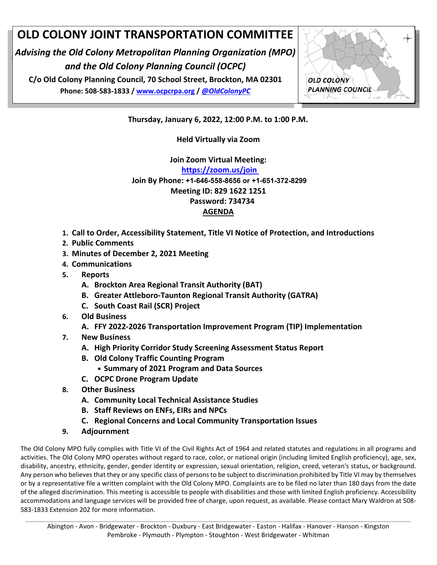## **OLD COLONY JOINT TRANSPORTATION COMMITTEE**

*Advising the Old Colony Metropolitan Planning Organization (MPO) and the Old Colony Planning Council (OCPC)* 

**C/o Old Colony Planning Council, 70 School Street, Brockton, MA 02301 Phone: 508‐583‐1833 / www.ocpcrpa.org /** *@OldColonyPC*



**Thursday, January 6, 2022, 12:00 P.M. to 1:00 P.M.** 

**Held Virtually via Zoom** 

**Join Zoom Virtual Meeting:** 

**https://zoom.us/join Join By Phone: +1-646-558-8656 or +1-651-372-8299 Meeting ID: 829 1622 1251 Password: 734734 AGENDA** 

- **1. Call to Order, Accessibility Statement, Title VI Notice of Protection, and Introductions**
- **2. Public Comments**
- **3. Minutes of December 2, 2021 Meeting**
- **4. Communications**
- **5. Reports** 
	- **A. Brockton Area Regional Transit Authority (BAT)**
	- **B. Greater Attleboro‐Taunton Regional Transit Authority (GATRA)**
	- **C. South Coast Rail (SCR) Project**
- **6. Old Business** 
	- **A. FFY 2022‐2026 Transportation Improvement Program (TIP) Implementation**
- **7. New Business** 
	- **A. High Priority Corridor Study Screening Assessment Status Report**
	- **B. Old Colony Traffic Counting Program** 
		- **Summary of 2021 Program and Data Sources**
	- **C. OCPC Drone Program Update**
- **8. Other Business** 
	- **A. Community Local Technical Assistance Studies**
	- **B. Staff Reviews on ENFs, EIRs and NPCs**
	- **C. Regional Concerns and Local Community Transportation Issues**
- **9. Adjournment**

The Old Colony MPO fully complies with Title VI of the Civil Rights Act of 1964 and related statutes and regulations in all programs and activities. The Old Colony MPO operates without regard to race, color, or national origin (including limited English proficiency), age, sex, disability, ancestry, ethnicity, gender, gender identity or expression, sexual orientation, religion, creed, veteran's status, or background. Any person who believes that they or any specific class of persons to be subject to discrimination prohibited by Title VI may by themselves or by a representative file a written complaint with the Old Colony MPO. Complaints are to be filed no later than 180 days from the date of the alleged discrimination. This meeting is accessible to people with disabilities and those with limited English proficiency. Accessibility accommodations and language services will be provided free of charge, upon request, as available. Please contact Mary Waldron at 508‐ 583‐1833 Extension 202 for more information.